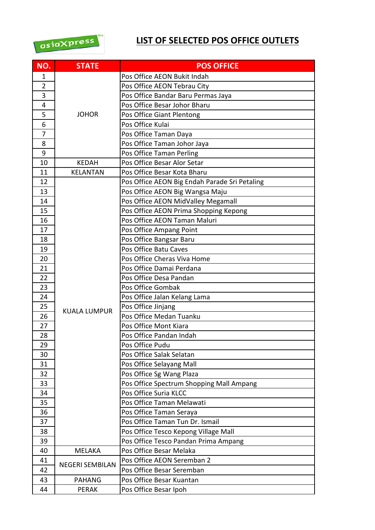

## **LIST OF SELECTED POS OFFICE OUTLETS**

| NO.            | <b>STATE</b>           | <b>POS OFFICE</b>                             |
|----------------|------------------------|-----------------------------------------------|
| 1              |                        | Pos Office AEON Bukit Indah                   |
| $\overline{2}$ |                        | Pos Office AEON Tebrau City                   |
| 3              |                        | Pos Office Bandar Baru Permas Jaya            |
| 4              |                        | Pos Office Besar Johor Bharu                  |
| 5              | <b>JOHOR</b>           | Pos Office Giant Plentong                     |
| 6              |                        | Pos Office Kulai                              |
| 7              |                        | Pos Office Taman Daya                         |
| 8              |                        | Pos Office Taman Johor Jaya                   |
| 9              |                        | Pos Office Taman Perling                      |
| 10             | <b>KEDAH</b>           | Pos Office Besar Alor Setar                   |
| 11             | <b>KELANTAN</b>        | Pos Office Besar Kota Bharu                   |
| 12             |                        | Pos Office AEON Big Endah Parade Sri Petaling |
| 13             |                        | Pos Office AEON Big Wangsa Maju               |
| 14             |                        | Pos Office AEON MidValley Megamall            |
| 15             |                        | Pos Office AEON Prima Shopping Kepong         |
| 16             |                        | Pos Office AEON Taman Maluri                  |
| 17             |                        | Pos Office Ampang Point                       |
| 18             |                        | Pos Office Bangsar Baru                       |
| 19             |                        | Pos Office Batu Caves                         |
| 20             |                        | Pos Office Cheras Viva Home                   |
| 21             |                        | Pos Office Damai Perdana                      |
| 22             |                        | Pos Office Desa Pandan                        |
| 23             |                        | Pos Office Gombak                             |
| 24             |                        | Pos Office Jalan Kelang Lama                  |
| 25             |                        | Pos Office Jinjang                            |
| 26             | <b>KUALA LUMPUR</b>    | Pos Office Medan Tuanku                       |
| 27             |                        | Pos Office Mont Kiara                         |
| 28             |                        | Pos Office Pandan Indah                       |
| 29             |                        | Pos Office Pudu                               |
| 30             |                        | Pos Office Salak Selatan                      |
| 31             |                        | Pos Office Selayang Mall                      |
| 32             |                        | Pos Office Sg Wang Plaza                      |
| 33             |                        | Pos Office Spectrum Shopping Mall Ampang      |
| 34             |                        | Pos Office Suria KLCC                         |
| 35             |                        | Pos Office Taman Melawati                     |
| 36             |                        | Pos Office Taman Seraya                       |
| 37             |                        | Pos Office Taman Tun Dr. Ismail               |
| 38             |                        | Pos Office Tesco Kepong Village Mall          |
| 39             |                        | Pos Office Tesco Pandan Prima Ampang          |
| 40             | <b>MELAKA</b>          | Pos Office Besar Melaka                       |
| 41             |                        | Pos Office AEON Seremban 2                    |
| 42             | <b>NEGERI SEMBILAN</b> | Pos Office Besar Seremban                     |
| 43             | <b>PAHANG</b>          | Pos Office Besar Kuantan                      |
| 44             | <b>PERAK</b>           | Pos Office Besar Ipoh                         |